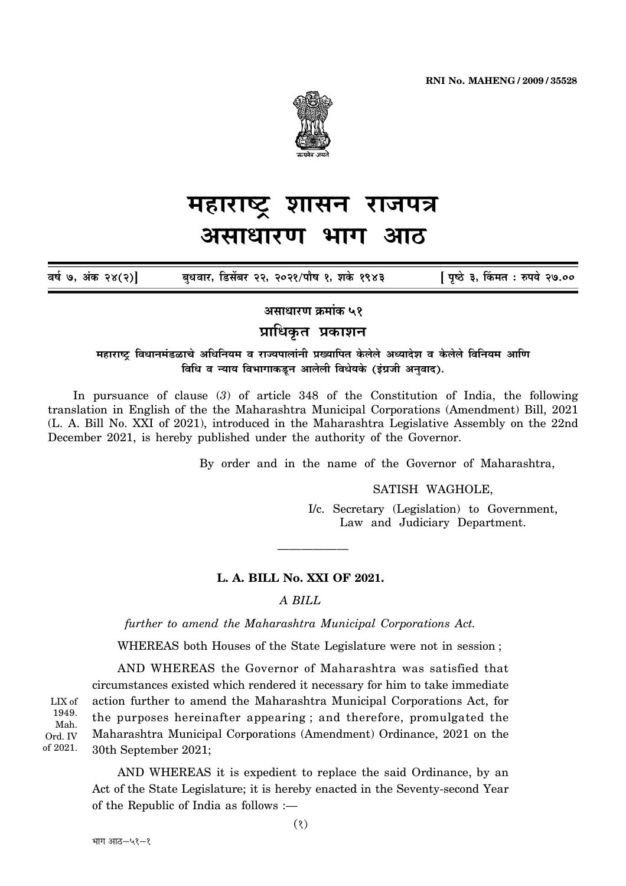

#### महाराष्ट्र शासन राजपत्र असाधारण भाग आਨ

बुधवार, डिसेंबर २२, २०२१/पौष १, शके १९४३ [ पृष्ठे ३, किंमत : रुपये २७.०० वर्ष ७, अंक २४(२)]

असाधारण क्रमांक ५१

# प्राधिकृत प्रकाशन

महाराष्ट्र विधानमंडळाचे अधिनियम व राज्यपालांनी प्रख्यापित केलेले अध्यादेश व केलेले विनियम आणि विधि व न्याय विभागाकडून आलेली विधेयके (इंग्रजी अनुवाद).

In pursuance of clause (3) of article 348 of the Constitution of India, the following translation in English of the the Maharashtra Municipal Corporations (Amendment) Bill, 2021 (L. A. Bill No. XXI of 2021), introduced in the Maharashtra Legislative Assembly on the 22nd December 2021, is hereby published under the authority of the Governor.

By order and in the name of the Governor of Maharashtra,

SATISH WAGHOLE,

I/c. Secretary (Legislation) to Government, Law and Judiciary Department.

### L. A. BILL No. XXI OF 2021.

## $A$   $BII.L$

further to amend the Maharashtra Municipal Corporations Act.

WHEREAS both Houses of the State Legislature were not in session;

AND WHEREAS the Governor of Maharashtra was satisfied that circumstances existed which rendered it necessary for him to take immediate action further to amend the Maharashtra Municipal Corporations Act, for the purposes hereinafter appearing; and therefore, promulgated the Maharashtra Municipal Corporations (Amendment) Ordinance, 2021 on the 30th September 2021;

AND WHEREAS it is expedient to replace the said Ordinance, by an Act of the State Legislature; it is hereby enacted in the Seventy-second Year of the Republic of India as follows :-

LIX of 1949. Mah. Ord. IV of 2021.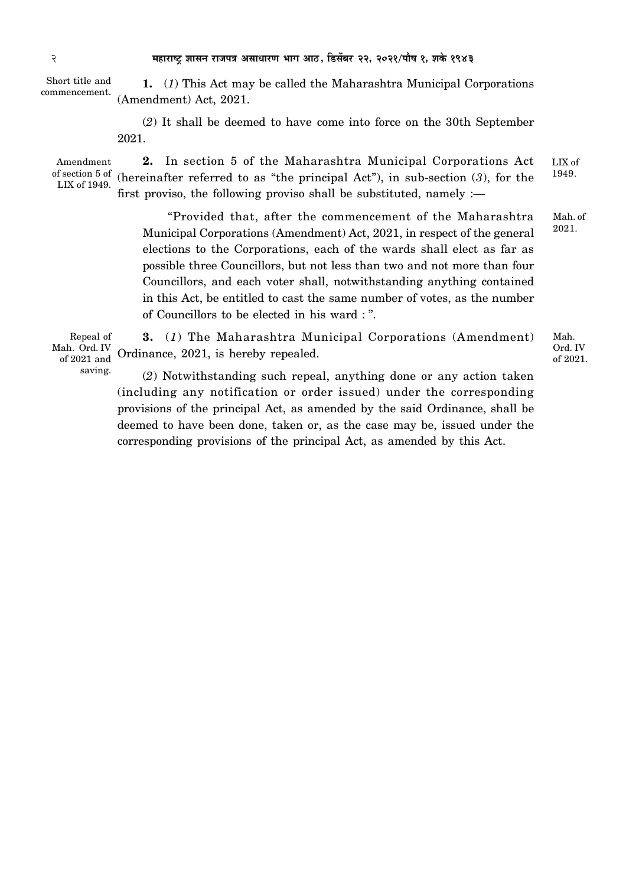Short title and commencement.

**1.** (*1*) This Act may be called the Maharashtra Municipal Corporations (Amendment) Act, 2021.

(*2*) It shall be deemed to have come into force on the 30th September 2021.

Amendment of section 5 of LIX of 1949.

**2.** In section 5 of the Maharashtra Municipal Corporations Act (hereinafter referred to as "the principal Act"), in sub-section (*3*), for the first proviso, the following proviso shall be substituted, namely  $:=$ LIX of 1949.

"Provided that, after the commencement of the Maharashtra Municipal Corporations (Amendment) Act, 2021, in respect of the general elections to the Corporations, each of the wards shall elect as far as possible three Councillors, but not less than two and not more than four Councillors, and each voter shall, notwithstanding anything contained in this Act, be entitled to cast the same number of votes, as the number of Councillors to be elected in his ward : ". Mah. of 2021.

Repeal of Mah. Ord. IV of 2021 and saving.

**3.** (*1*) The Maharashtra Municipal Corporations (Amendment) Ordinance, 2021, is hereby repealed.

(*2*) Notwithstanding such repeal, anything done or any action taken (including any notification or order issued) under the corresponding provisions of the principal Act, as amended by the said Ordinance, shall be deemed to have been done, taken or, as the case may be, issued under the corresponding provisions of the principal Act, as amended by this Act.

Mah. Ord. IV of 2021.